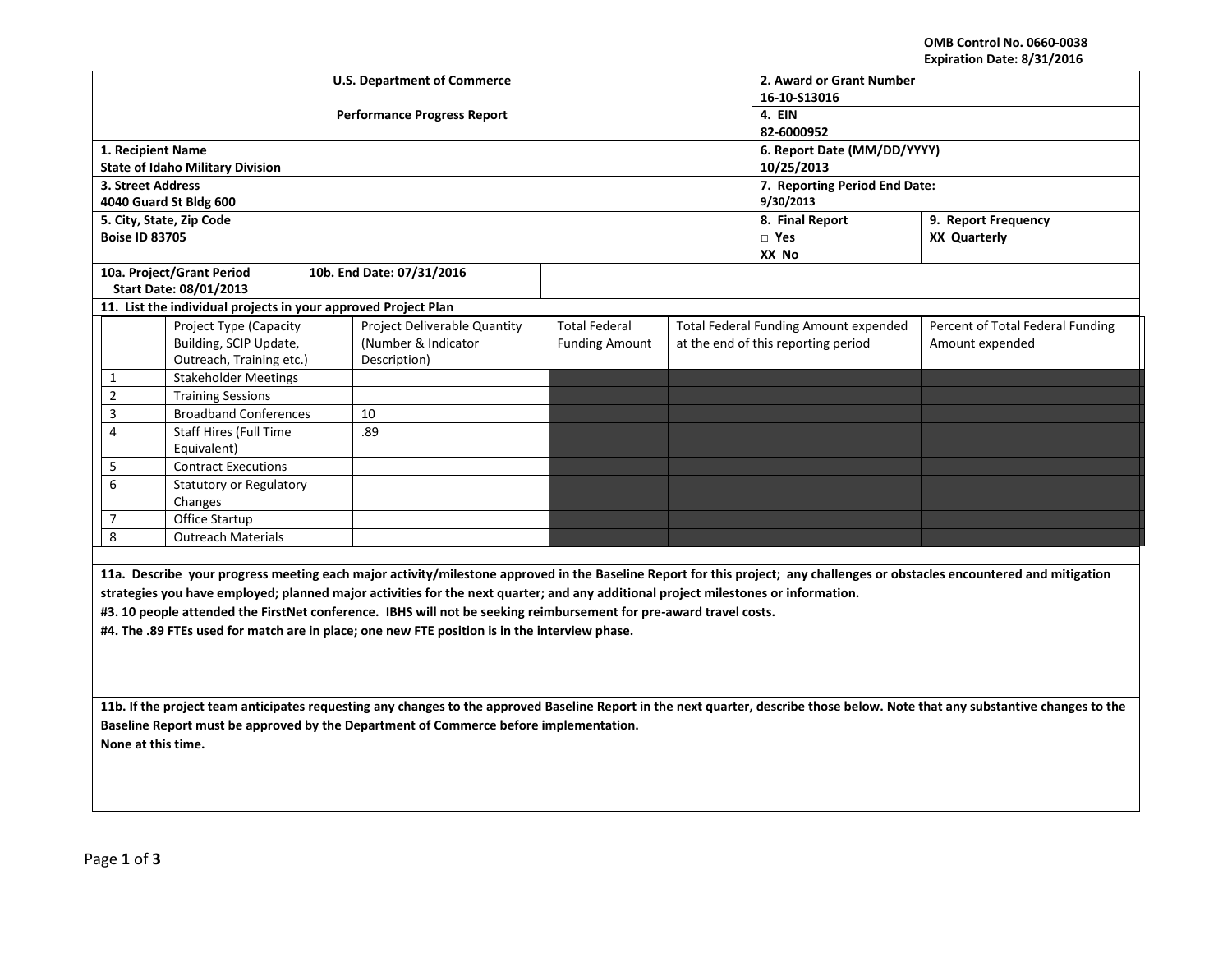**OMB Control No. 0660-0038 Expiration Date: 8/31/2016**

|                                                                                                                                                                                                                                                          |                                                                |  | <b>U.S. Department of Commerce</b> | 2. Award or Grant Number |                                        |                                              |                                                                                                                                                                            |  |  |  |
|----------------------------------------------------------------------------------------------------------------------------------------------------------------------------------------------------------------------------------------------------------|----------------------------------------------------------------|--|------------------------------------|--------------------------|----------------------------------------|----------------------------------------------|----------------------------------------------------------------------------------------------------------------------------------------------------------------------------|--|--|--|
|                                                                                                                                                                                                                                                          |                                                                |  |                                    | 16-10-S13016             |                                        |                                              |                                                                                                                                                                            |  |  |  |
|                                                                                                                                                                                                                                                          |                                                                |  | <b>Performance Progress Report</b> | 4. EIN                   |                                        |                                              |                                                                                                                                                                            |  |  |  |
|                                                                                                                                                                                                                                                          |                                                                |  |                                    | 82-6000952               |                                        |                                              |                                                                                                                                                                            |  |  |  |
| 1. Recipient Name                                                                                                                                                                                                                                        |                                                                |  |                                    |                          |                                        | 6. Report Date (MM/DD/YYYY)                  |                                                                                                                                                                            |  |  |  |
|                                                                                                                                                                                                                                                          | <b>State of Idaho Military Division</b>                        |  |                                    |                          | 10/25/2013                             |                                              |                                                                                                                                                                            |  |  |  |
| 3. Street Address                                                                                                                                                                                                                                        |                                                                |  |                                    |                          | 7. Reporting Period End Date:          |                                              |                                                                                                                                                                            |  |  |  |
|                                                                                                                                                                                                                                                          | 4040 Guard St Bldg 600                                         |  |                                    |                          | 9/30/2013                              |                                              |                                                                                                                                                                            |  |  |  |
|                                                                                                                                                                                                                                                          | 5. City, State, Zip Code                                       |  |                                    |                          | 8. Final Report<br>9. Report Frequency |                                              |                                                                                                                                                                            |  |  |  |
| <b>Boise ID 83705</b>                                                                                                                                                                                                                                    |                                                                |  |                                    |                          | $\Box$ Yes                             | <b>XX Quarterly</b>                          |                                                                                                                                                                            |  |  |  |
|                                                                                                                                                                                                                                                          |                                                                |  |                                    |                          |                                        | XX No                                        |                                                                                                                                                                            |  |  |  |
|                                                                                                                                                                                                                                                          | 10a. Project/Grant Period                                      |  | 10b. End Date: 07/31/2016          |                          |                                        |                                              |                                                                                                                                                                            |  |  |  |
|                                                                                                                                                                                                                                                          | Start Date: 08/01/2013                                         |  |                                    |                          |                                        |                                              |                                                                                                                                                                            |  |  |  |
|                                                                                                                                                                                                                                                          | 11. List the individual projects in your approved Project Plan |  |                                    |                          |                                        |                                              |                                                                                                                                                                            |  |  |  |
|                                                                                                                                                                                                                                                          | Project Type (Capacity                                         |  | Project Deliverable Quantity       | <b>Total Federal</b>     |                                        | <b>Total Federal Funding Amount expended</b> | Percent of Total Federal Funding                                                                                                                                           |  |  |  |
|                                                                                                                                                                                                                                                          | Building, SCIP Update,                                         |  | (Number & Indicator                | <b>Funding Amount</b>    |                                        | at the end of this reporting period          | Amount expended                                                                                                                                                            |  |  |  |
|                                                                                                                                                                                                                                                          | Outreach, Training etc.)                                       |  | Description)                       |                          |                                        |                                              |                                                                                                                                                                            |  |  |  |
| 1                                                                                                                                                                                                                                                        | <b>Stakeholder Meetings</b>                                    |  |                                    |                          |                                        |                                              |                                                                                                                                                                            |  |  |  |
| $\overline{2}$                                                                                                                                                                                                                                           | <b>Training Sessions</b>                                       |  |                                    |                          |                                        |                                              |                                                                                                                                                                            |  |  |  |
| 3                                                                                                                                                                                                                                                        | <b>Broadband Conferences</b>                                   |  | 10                                 |                          |                                        |                                              |                                                                                                                                                                            |  |  |  |
| 4                                                                                                                                                                                                                                                        | Staff Hires (Full Time                                         |  | .89                                |                          |                                        |                                              |                                                                                                                                                                            |  |  |  |
|                                                                                                                                                                                                                                                          | Equivalent)                                                    |  |                                    |                          |                                        |                                              |                                                                                                                                                                            |  |  |  |
| 5                                                                                                                                                                                                                                                        | Contract Executions                                            |  |                                    |                          |                                        |                                              |                                                                                                                                                                            |  |  |  |
| 6                                                                                                                                                                                                                                                        | <b>Statutory or Regulatory</b>                                 |  |                                    |                          |                                        |                                              |                                                                                                                                                                            |  |  |  |
|                                                                                                                                                                                                                                                          | Changes                                                        |  |                                    |                          |                                        |                                              |                                                                                                                                                                            |  |  |  |
| $\overline{7}$                                                                                                                                                                                                                                           | Office Startup                                                 |  |                                    |                          |                                        |                                              |                                                                                                                                                                            |  |  |  |
| 8                                                                                                                                                                                                                                                        | <b>Outreach Materials</b>                                      |  |                                    |                          |                                        |                                              |                                                                                                                                                                            |  |  |  |
|                                                                                                                                                                                                                                                          |                                                                |  |                                    |                          |                                        |                                              |                                                                                                                                                                            |  |  |  |
|                                                                                                                                                                                                                                                          |                                                                |  |                                    |                          |                                        |                                              | 11a. Describe your progress meeting each major activity/milestone approved in the Baseline Report for this project; any challenges or obstacles encountered and mitigation |  |  |  |
|                                                                                                                                                                                                                                                          |                                                                |  |                                    |                          |                                        |                                              |                                                                                                                                                                            |  |  |  |
| strategies you have employed; planned major activities for the next quarter; and any additional project milestones or information.<br>#3. 10 people attended the FirstNet conference. IBHS will not be seeking reimbursement for pre-award travel costs. |                                                                |  |                                    |                          |                                        |                                              |                                                                                                                                                                            |  |  |  |
| #4. The .89 FTEs used for match are in place; one new FTE position is in the interview phase.                                                                                                                                                            |                                                                |  |                                    |                          |                                        |                                              |                                                                                                                                                                            |  |  |  |
|                                                                                                                                                                                                                                                          |                                                                |  |                                    |                          |                                        |                                              |                                                                                                                                                                            |  |  |  |
|                                                                                                                                                                                                                                                          |                                                                |  |                                    |                          |                                        |                                              |                                                                                                                                                                            |  |  |  |
|                                                                                                                                                                                                                                                          |                                                                |  |                                    |                          |                                        |                                              |                                                                                                                                                                            |  |  |  |
|                                                                                                                                                                                                                                                          |                                                                |  |                                    |                          |                                        |                                              |                                                                                                                                                                            |  |  |  |
| 11b. If the project team anticipates requesting any changes to the approved Baseline Report in the next quarter, describe those below. Note that any substantive changes to the                                                                          |                                                                |  |                                    |                          |                                        |                                              |                                                                                                                                                                            |  |  |  |
| Baseline Report must be approved by the Department of Commerce before implementation.                                                                                                                                                                    |                                                                |  |                                    |                          |                                        |                                              |                                                                                                                                                                            |  |  |  |
| None at this time.                                                                                                                                                                                                                                       |                                                                |  |                                    |                          |                                        |                                              |                                                                                                                                                                            |  |  |  |
|                                                                                                                                                                                                                                                          |                                                                |  |                                    |                          |                                        |                                              |                                                                                                                                                                            |  |  |  |
|                                                                                                                                                                                                                                                          |                                                                |  |                                    |                          |                                        |                                              |                                                                                                                                                                            |  |  |  |
|                                                                                                                                                                                                                                                          |                                                                |  |                                    |                          |                                        |                                              |                                                                                                                                                                            |  |  |  |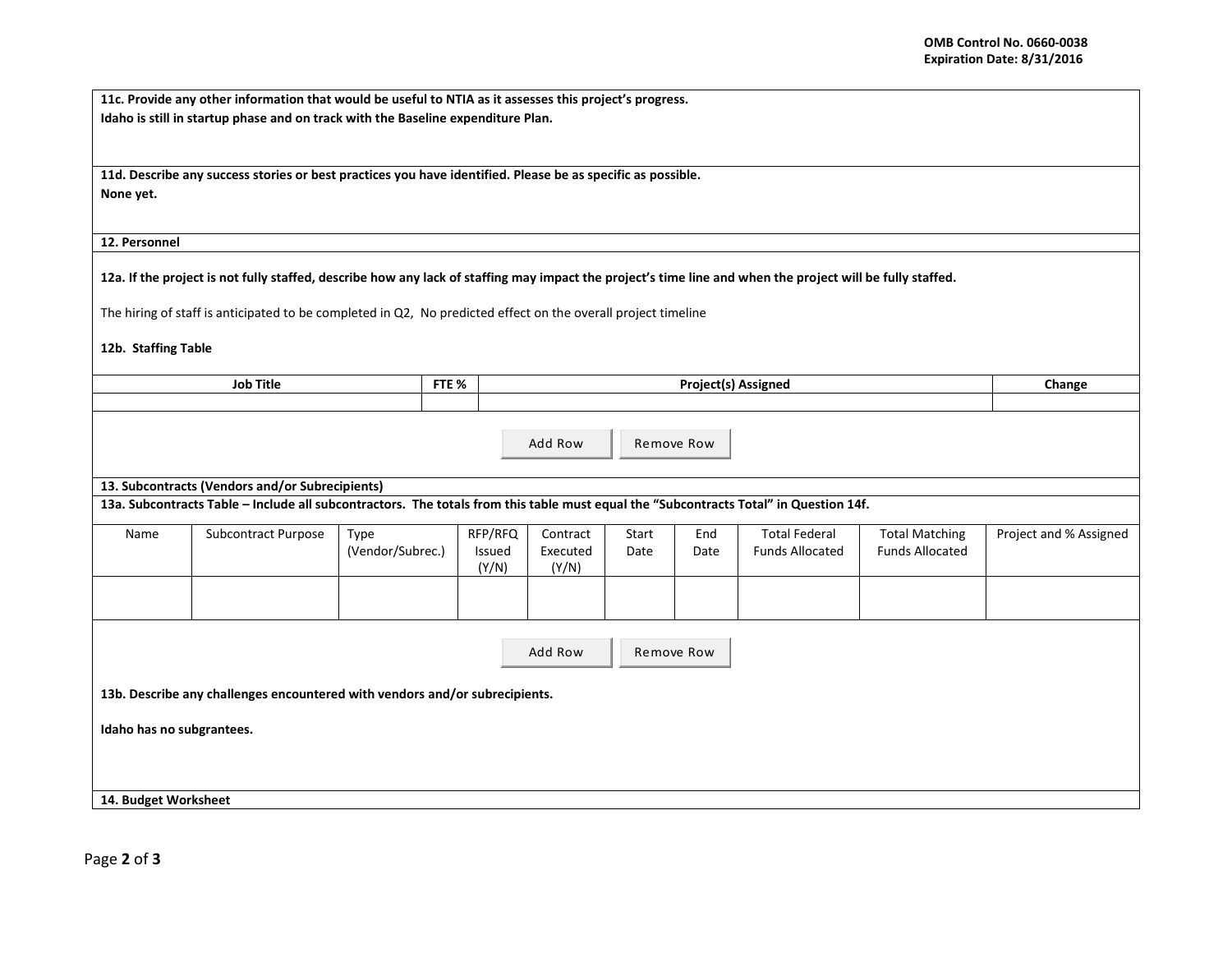|                           | 11c. Provide any other information that would be useful to NTIA as it assesses this project's progress.                                                    |                  |       |         |          |       |            |                            |                        |                        |
|---------------------------|------------------------------------------------------------------------------------------------------------------------------------------------------------|------------------|-------|---------|----------|-------|------------|----------------------------|------------------------|------------------------|
|                           | Idaho is still in startup phase and on track with the Baseline expenditure Plan.                                                                           |                  |       |         |          |       |            |                            |                        |                        |
|                           |                                                                                                                                                            |                  |       |         |          |       |            |                            |                        |                        |
|                           | 11d. Describe any success stories or best practices you have identified. Please be as specific as possible.                                                |                  |       |         |          |       |            |                            |                        |                        |
| None yet.                 |                                                                                                                                                            |                  |       |         |          |       |            |                            |                        |                        |
|                           |                                                                                                                                                            |                  |       |         |          |       |            |                            |                        |                        |
| 12. Personnel             |                                                                                                                                                            |                  |       |         |          |       |            |                            |                        |                        |
|                           |                                                                                                                                                            |                  |       |         |          |       |            |                            |                        |                        |
|                           | 12a. If the project is not fully staffed, describe how any lack of staffing may impact the project's time line and when the project will be fully staffed. |                  |       |         |          |       |            |                            |                        |                        |
|                           | The hiring of staff is anticipated to be completed in Q2, No predicted effect on the overall project timeline                                              |                  |       |         |          |       |            |                            |                        |                        |
|                           |                                                                                                                                                            |                  |       |         |          |       |            |                            |                        |                        |
| 12b. Staffing Table       |                                                                                                                                                            |                  |       |         |          |       |            |                            |                        |                        |
|                           | <b>Job Title</b>                                                                                                                                           |                  | FTE % |         |          |       |            | <b>Project(s) Assigned</b> |                        | Change                 |
|                           |                                                                                                                                                            |                  |       |         |          |       |            |                            |                        |                        |
|                           |                                                                                                                                                            |                  |       |         |          |       |            |                            |                        |                        |
|                           |                                                                                                                                                            |                  |       |         | Add Row  |       | Remove Row |                            |                        |                        |
|                           |                                                                                                                                                            |                  |       |         |          |       |            |                            |                        |                        |
|                           | 13. Subcontracts (Vendors and/or Subrecipients)                                                                                                            |                  |       |         |          |       |            |                            |                        |                        |
|                           | 13a. Subcontracts Table - Include all subcontractors. The totals from this table must equal the "Subcontracts Total" in Question 14f.                      |                  |       |         |          |       |            |                            |                        |                        |
| Name                      | Subcontract Purpose                                                                                                                                        | Type             |       | RFP/RFQ | Contract | Start | End        | <b>Total Federal</b>       | <b>Total Matching</b>  | Project and % Assigned |
|                           |                                                                                                                                                            | (Vendor/Subrec.) |       | Issued  | Executed | Date  | Date       | <b>Funds Allocated</b>     | <b>Funds Allocated</b> |                        |
|                           |                                                                                                                                                            |                  |       | (Y/N)   | (Y/N)    |       |            |                            |                        |                        |
|                           |                                                                                                                                                            |                  |       |         |          |       |            |                            |                        |                        |
|                           |                                                                                                                                                            |                  |       |         |          |       |            |                            |                        |                        |
|                           |                                                                                                                                                            |                  |       |         |          |       |            |                            |                        |                        |
|                           |                                                                                                                                                            |                  |       |         | Add Row  |       | Remove Row |                            |                        |                        |
|                           | 13b. Describe any challenges encountered with vendors and/or subrecipients.                                                                                |                  |       |         |          |       |            |                            |                        |                        |
|                           |                                                                                                                                                            |                  |       |         |          |       |            |                            |                        |                        |
| Idaho has no subgrantees. |                                                                                                                                                            |                  |       |         |          |       |            |                            |                        |                        |
|                           |                                                                                                                                                            |                  |       |         |          |       |            |                            |                        |                        |
|                           |                                                                                                                                                            |                  |       |         |          |       |            |                            |                        |                        |
| 14. Budget Worksheet      |                                                                                                                                                            |                  |       |         |          |       |            |                            |                        |                        |